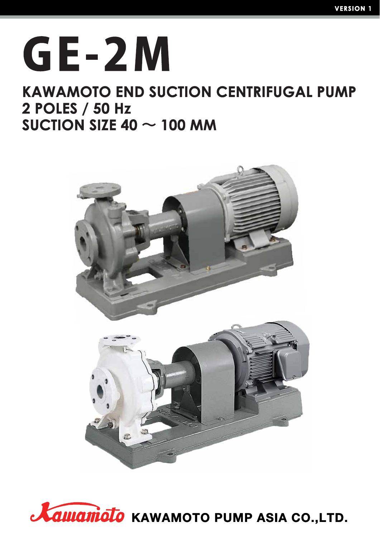# GE-2M

# **KAWAMOTO END SUCTION CENTRIFUGAL PUMP** 2 POLES / 50 Hz SUCTION SIZE 40  $\sim$  100 MM



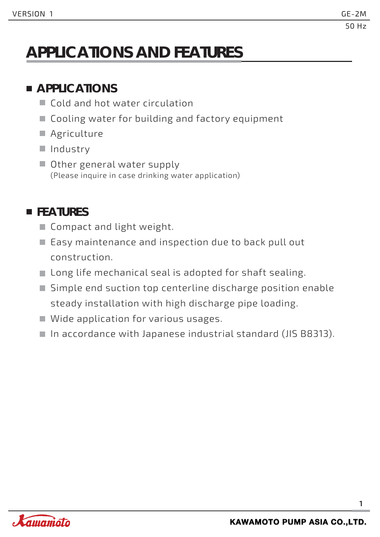# **APPLICATIONS AND FEATURES**

### **APPLICATIONS**

- Cold and hot water circulation
- Cooling water for building and factory equipment
- **Agriculture**
- II Industry
- Other general water supply (Please inquire in case drinking water application)

### **FEATURES**

- Compact and light weight.
- Easy maintenance and inspection due to back pull out construction.
- Long life mechanical seal is adopted for shaft sealing.
- Simple end suction top centerline discharge position enable steady installation with high discharge pipe loading.
- Wide application for various usages.
- In accordance with Japanese industrial standard (JIS B8313).

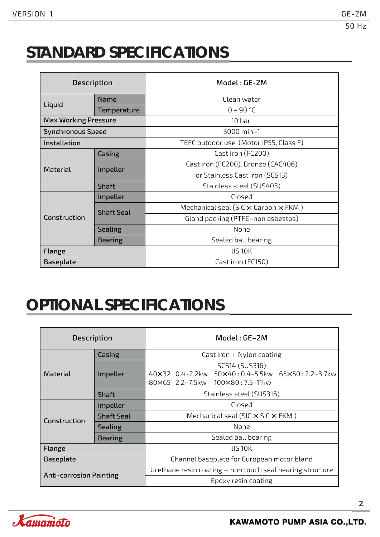# **STANDARD SPECIFICATIONS**

| <b>Description</b>          |                   | Model: GE-2M                                       |
|-----------------------------|-------------------|----------------------------------------------------|
|                             | <b>Name</b>       | Clean water                                        |
| Liquid                      | Temperature       | $0 - 90 °C$                                        |
| <b>Max Working Pressure</b> |                   | 10 <sub>bar</sub>                                  |
| <b>Synchronous Speed</b>    |                   | 3000 min-1                                         |
| Installation                |                   | TEFC outdoor use (Motor IP55, Class F)             |
| Casing                      |                   | Cast iron (FC200)                                  |
| <b>Material</b>             | Impeller          | Cast iron (FC200), Bronze (CAC406)                 |
|                             |                   | or Stainless Cast iron (SCS13)                     |
|                             | <b>Shaft</b>      | Stainless steel (SUS403)                           |
|                             | Impeller          | Closed                                             |
|                             | <b>Shaft Seal</b> | Mechanical seal (SIC $\times$ Carbon $\times$ FKM) |
| Construction                |                   | Gland packing (PTFE-non asbestos)                  |
|                             | <b>Sealing</b>    | None                                               |
| <b>Bearing</b>              |                   | Sealed ball bearing                                |
| Flange                      |                   | <b>JIS 10K</b>                                     |
| Baseplate                   |                   | Cast iron (FC150)                                  |

# **OPTIONAL SPECIFICATIONS**

| <b>Description</b>             |                   | Model: GE-2M                                                                                           |  |  |  |  |  |  |  |
|--------------------------------|-------------------|--------------------------------------------------------------------------------------------------------|--|--|--|--|--|--|--|
|                                | Casing            | Cast iron $+$ Nylon coating                                                                            |  |  |  |  |  |  |  |
| <b>Material</b>                | Impeller          | SCS14 (SUS316)<br>40×32:0.4~2.2kw 50×40:0.4~5.5kw 65×50:2.2~3.7kw<br>80×65: 2.2~7.5kw 100×80: 7.5~11kw |  |  |  |  |  |  |  |
|                                | <b>Shaft</b>      | Stainless steel (SUS316)                                                                               |  |  |  |  |  |  |  |
|                                | Impeller          | Closed                                                                                                 |  |  |  |  |  |  |  |
| Construction                   | <b>Shaft Seal</b> | Mechanical seal (SIC $\times$ SIC $\times$ FKM)                                                        |  |  |  |  |  |  |  |
|                                | <b>Sealing</b>    | None                                                                                                   |  |  |  |  |  |  |  |
|                                | <b>Bearing</b>    | Sealed ball bearing                                                                                    |  |  |  |  |  |  |  |
| Flange                         |                   | <b>JIS 10K</b>                                                                                         |  |  |  |  |  |  |  |
| <b>Baseplate</b>               |                   | Channel baseplate for European motor bland                                                             |  |  |  |  |  |  |  |
| <b>Anti-corrosion Painting</b> |                   | Urethane resin coating + non touch seal bearing structure                                              |  |  |  |  |  |  |  |
|                                |                   | Epoxy resin coating                                                                                    |  |  |  |  |  |  |  |

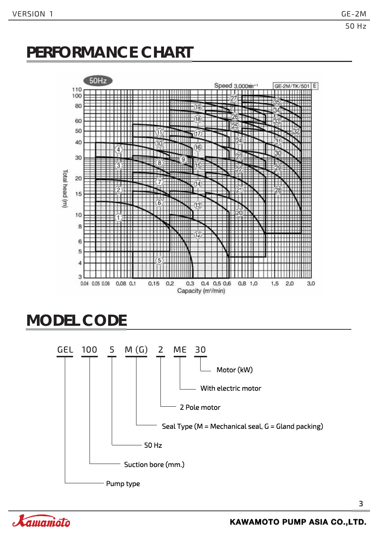# **PERFORMANCE CHART**



# **MODEL CODE**



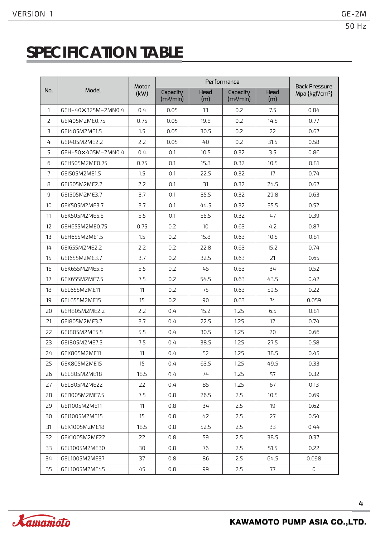# **SPECIFICATION TABLE**

|                |                    |               | <b>Back Pressure</b>              |             |                                   |             |                            |
|----------------|--------------------|---------------|-----------------------------------|-------------|-----------------------------------|-------------|----------------------------|
| No.            | Model              | Motor<br>(kW) | Capacity<br>(m <sup>3</sup> /min) | Head<br>(m) | Capacity<br>(m <sup>3</sup> /min) | Head<br>(m) | Mpa {kgf/cm <sup>2</sup> } |
| $\mathbf{1}$   | GEH-40×325M-2MN0.4 | 0.4           | 0.05                              | 13          | 0.2                               | 7.5         | 0.84                       |
| $\overline{2}$ | GEI405M2ME0.75     | 0.75          | 0.05                              | 19.8        | 0.2                               | 14.5        | 0.77                       |
| 3              | GEJ405M2ME1.5      | 1.5           | 0.05                              | 30.5        | 0.2                               | 22          | 0.67                       |
| 4              | GEJ405M2ME2.2      | 2.2           | 0.05                              | 40          | 0.2                               | 31.5        | 0.58                       |
| 5              | GEH-50×405M-2MN0.4 | 0.4           | 0.1                               | 10.5        | 0.32                              | 3.5         | 0.86                       |
| 6              | GEH505M2ME0.75     | 0.75          | 0.1                               | 15.8        | 0.32                              | 10.5        | 0.81                       |
| $\overline{7}$ | GEI505M2ME1.5      | 1.5           | 0.1                               | 22.5        | 0.32                              | 17          | 0.74                       |
| 8              | GEJ505M2ME2.2      | 2.2           | 0.1                               | 31          | 0.32                              | 24.5        | 0.67                       |
| 9              | GEJ505M2ME3.7      | 3.7           | 0.1                               | 35.5        | 0.32                              | 29.8        | 0.63                       |
| 10             | GEK505M2ME3.7      | 3.7           | 0.1                               | 44.5        | 0.32                              | 35.5        | 0.52                       |
| 11             | GEK505M2ME5.5      | 5.5           | 0.1                               | 56.5        | 0.32                              | 47          | 0.39                       |
| 12             | GEH655M2ME0.75     | 0.75          | 0.2                               | 10          | 0.63                              | 4.2         | 0.87                       |
| 13             | GEH655M2ME1.5      | 1.5           | 0.2                               | 15.8        | 0.63                              | 10.5        | 0.81                       |
| 14             | GEI655M2ME2.2      | 2.2           | 0.2                               | 22.8        | 0.63                              | 15.2        | 0.74                       |
| 15             | GEJ655M2ME3.7      | 3.7           | 0.2                               | 32.5        | 0.63                              | 21          | 0.65                       |
| 16             | GEK655M2ME5.5      | 5.5           | 0.2                               | 45          | 0.63                              | 34          | 0.52                       |
| 17             | GEK655M2ME7.5      | 7.5           | 0.2                               | 54.5        | 0.63                              | 43.5        | 0.42                       |
| 18             | GEL655M2ME11       | 11            | 0.2                               | 75          | 0.63                              | 59.5        | 0.22                       |
| 19             | GEL655M2ME15       | 15            | 0.2                               | 90          | 0.63                              | 74          | 0.059                      |
| 20             | GEH805M2ME2.2      | 2.2           | 0.4                               | 15.2        | 1.25                              | 6.5         | 0.81                       |
| 21             | GEI805M2ME3.7      | 3.7           | 0.4                               | 22.5        | 1.25                              | 12          | 0.74                       |
| 22             | GEJ805M2ME5.5      | 5.5           | 0.4                               | 30.5        | 1.25                              | 20          | 0.66                       |
| 23             | GEJ805M2ME7.5      | 7.5           | 0.4                               | 38.5        | 1.25                              | 27.5        | 0.58                       |
| 24             | GEK805M2ME11       | 11            | 0.4                               | 52          | 1.25                              | 38.5        | 0.45                       |
| 25             | GEK805M2ME15       | 15            | 0.4                               | 63.5        | 1.25                              | 49.5        | 0.33                       |
| 26             | GEL805M2ME18       | 18.5          | 0.4                               | 74          | 1.25                              | 57          | 0.32                       |
| 27             | GEL805M2ME22       | 22            | 0.4                               | 85          | 1.25                              | 67          | 0.13                       |
| 28             | GEI1005M2ME7.5     | 7.5           | 0.8                               | 26.5        | 2.5                               | 10.5        | 0.69                       |
| 29             | GEJ1005M2ME11      | 11            | 0.8                               | 34          | 2.5                               | 19          | 0.62                       |
| 30             | GEJ1005M2ME15      | 15            | 0.8                               | 42          | 2.5                               | 27          | 0.54                       |
| 31             | GEK1005M2ME18      | 18.5          | 0.8                               | 52.5        | 2.5                               | 33          | 0.44                       |
| 32             | GEK1005M2ME22      | 22            | 0.8                               | 59          | 2.5                               | 38.5        | 0.37                       |
| 33             | GEL1005M2ME30      | 30            | 0.8                               | 76          | 2.5                               | 51.5        | 0.22                       |
| 34             | GEL1005M2ME37      | 37            | 0.8                               | 86          | 2.5                               | 64.5        | 0.098                      |
| 35             | GEL1005M2ME45      | 45            | 0.8                               | 99          | 2.5                               | 77          | 0                          |

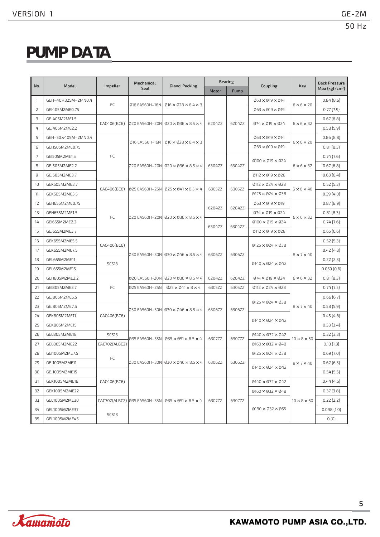# **PUMP DATA**

|                |                    |               | Mechanical     |                                                                  |        | <b>Bearing</b> |                                                         |                         | <b>Back Pressure</b>       |
|----------------|--------------------|---------------|----------------|------------------------------------------------------------------|--------|----------------|---------------------------------------------------------|-------------------------|----------------------------|
| No.            | Model              | Impeller      | Seal           | <b>Gland Packing</b>                                             | Motor  | Pump           | Coupling                                                | <b>Key</b>              | Mpa {kgf/cm <sup>2</sup> } |
| 1              | GEH-40×325M-2MN0.4 |               |                |                                                                  |        |                | 063 × 019 × 014                                         |                         | $0.84\{8.6\}$              |
| 2              | GEI405M2ME0.75     | FC            | 016 EA560H-16N | $\varnothing$ 16 × $\varnothing$ 28 × 6.4 × 3                    |        |                | $063 \times 019 \times 019$                             | $6 \times 6 \times 20$  | $0.77\{7.9\}$              |
| 3              | GEJ405M2ME1.5      |               |                |                                                                  |        |                |                                                         |                         | $0.67\{6.8\}$              |
| 4              | GEJ405M2ME2.2      | CAC406(BC6)   |                | 020 EA560H-20N 020 x 036 x 8.5 x 4                               | 6204ZZ | 6204ZZ         | $\varnothing$ 74 × $\varnothing$ 19 × $\varnothing$ 24  | $6 \times 6 \times 32$  | $0.58\{5.9\}$              |
| 5              | GEH-50×405M-2MN0.4 |               | Ø16 EA560H-16N | $\varnothing$ 16 × $\varnothing$ 28 × 6.4 × 3                    |        |                | $063 \times 019 \times 014$                             | $6 \times 6 \times 20$  | $0.86\{8.8\}$              |
| 6              | GEH505M2ME0.75     |               |                |                                                                  |        |                | 063 × 019 × 019                                         |                         | $0.81\{8.3\}$              |
| $\overline{7}$ | GEI505M2ME1.5      | FC            |                |                                                                  |        |                | $\varnothing$ 100 × $\varnothing$ 19 × $\varnothing$ 24 |                         | $0.74\{7.6\}$              |
| 8              | GEJ505M2ME2.2      |               |                |                                                                  | 6304ZZ | 6304ZZ         |                                                         | $6 \times 6 \times 32$  | $0.67\{6.8\}$              |
| 9              | GEJ505M2ME3.7      |               |                |                                                                  |        |                | $@112 \times @19 \times @28$                            |                         | $0.63\{6.4\}$              |
| 10             | GEK505M2ME3.7      | CAC406(BC6)   |                |                                                                  |        | 6305ZZ         | $@112 \times @24 \times @28$                            |                         | $0.52$ {5.3}               |
| 11             | GEK505M2ME5.5      |               |                | 025 EA560H-25N 025 x 041 x 8.5 x 4                               | 6305ZZ |                | $\emptyset$ 125 × $\emptyset$ 24 × $\emptyset$ 38       | $6 \times 6 \times 40$  | $0.39\{4.0\}$              |
| 12             | GEH655M2ME0.75     |               |                |                                                                  | 6204ZZ | 6204ZZ         | 063×019×019                                             |                         | $0.87\{8.9\}$              |
| 13             | GEH655M2ME1.5      | FC            |                |                                                                  |        |                | $074 \times 019 \times 024$                             |                         | $0.81\{8.3\}$              |
| 14             | GEI655M2ME2.2      |               |                |                                                                  | 6304ZZ | 6304ZZ         | $\emptyset$ 100 × $\emptyset$ 19 × $\emptyset$ 24       | $6 \times 6 \times 32$  | $0.74\{7.6\}$              |
| 15             | GEJ655M2ME3.7      |               |                |                                                                  |        |                | $\emptyset$ 112 × $\emptyset$ 19 × $\emptyset$ 28       |                         | $0.65\{6.6\}$              |
| 16             | GEK655M2ME5.5      | CAC406(BC6)   |                |                                                                  |        |                | $\emptyset$ 125 × $\emptyset$ 24 × $\emptyset$ 38       |                         | $0.52$ {5.3}               |
| 17             | GEK655M2ME7.5      |               |                |                                                                  | 6306ZZ | 6306ZZ         |                                                         | $8 \times 7 \times 40$  | $0.42\{4.3\}$              |
| 18             | GEL655M2ME11       | <b>SCS13</b>  |                |                                                                  |        |                | $\emptyset$ 140 × $\emptyset$ 24 × $\emptyset$ 42       |                         | $0.22$ $\{2.3\}$           |
| 19             | GEL655M2ME15       |               |                |                                                                  |        |                |                                                         |                         | $0.059\{0.6\}$             |
| 20             | GEH805M2ME2.2      |               |                | 020 EA560H-20N 020 × 036 × 8.5 × 4                               | 6204ZZ | 6204ZZ         | $074 \times 019 \times 024$<br>$6 \times 6 \times 32$   |                         | $0.81\{8.3\}$              |
| 21             | GEI805M2ME3.7      | FC            | 025 EA560H-25N | $025 \times 041 \times 8 \times 4$                               | 6305ZZ | 6305ZZ         | $Ø112 \times Ø24 \times Ø28$                            |                         | $0.74$ {7.5}               |
| 22             | GEJ805M2ME5.5      |               |                |                                                                  |        |                |                                                         |                         | $0.66\{6.7\}$              |
| 23             | GEJ805M2ME7.5      |               |                | 030 EA560H-30N 030 x 046 x 8.5 x 4                               | 6306ZZ | 6306ZZ         | $\emptyset$ 125 × Ø24 × Ø38                             | $8 \times 7 \times 40$  | $0.58\{5.9\}$              |
| 24             | GEK805M2ME11       | CAC406(BC6)   |                |                                                                  |        |                | $\emptyset$ 140 × $\emptyset$ 24 × $\emptyset$ 42       |                         | $0.45\{4.6\}$              |
| 25             | GEK805M2ME15       |               |                |                                                                  |        |                |                                                         |                         | $0.33\{3.4\}$              |
| 26             | GEL805M2ME18       | <b>SCS13</b>  |                | 035 EA560H-35N 035 x 051 x 8.5 x 4                               | 6307ZZ | 6307ZZ         | $\emptyset$ 140 × Ø32 × Ø42                             | $10 \times 8 \times 50$ | $0.32$ {3.3}               |
| 27             | GEL805M2ME22       | CAC702(ALBC2) |                |                                                                  |        |                | $\emptyset$ 160 × Ø32 × Ø48                             |                         | $0.13\{1.3\}$              |
| 28             | GEI1005M2ME7.5     | FC            |                |                                                                  |        |                | $\emptyset$ 125 × $\emptyset$ 24 × $\emptyset$ 38       |                         | $0.69$ {7.0}               |
| 29             | GEJ1005M2ME11      |               |                | 030 EA560H-30N 030 $\times$ 046 $\times$ 8.5 $\times$ 4   6306ZZ |        | 6306ZZ         | $0140 \times 024 \times 042$                            | $8 \times 7 \times 40$  | $0.62\{6.3\}$              |
| 30             | GEJ1005M2ME15      |               |                |                                                                  |        |                |                                                         |                         | $0.54$ {5.5}               |
| 31             | GEK1005M2ME18      | CAC406(BC6)   |                |                                                                  |        |                | $0140 \times 032 \times 042$                            |                         | $0.44\{4.5\}$              |
| 32             | GEK1005M2ME22      |               |                |                                                                  |        |                | $0160 \times 032 \times 048$                            |                         | $0.37\{3.8\}$              |
| 33             | GEL1005M2ME30      |               |                | CAC702(ALBC2) 035 EA560H-35N 035 × 051 × 8.5 × 4                 | 6307ZZ | 6307ZZ         |                                                         | $10 \times 8 \times 50$ | $0.22$ {2.2}               |
| 34             | GEL1005M2ME37      |               |                |                                                                  |        |                | $\varnothing$ 180 × $\varnothing$ 32 × $\varnothing$ 55 |                         | $0.098\{1.0\}$             |
| 35             | GEL1005M2ME45      | <b>SCS13</b>  |                |                                                                  |        |                |                                                         |                         | $0\{0\}$                   |

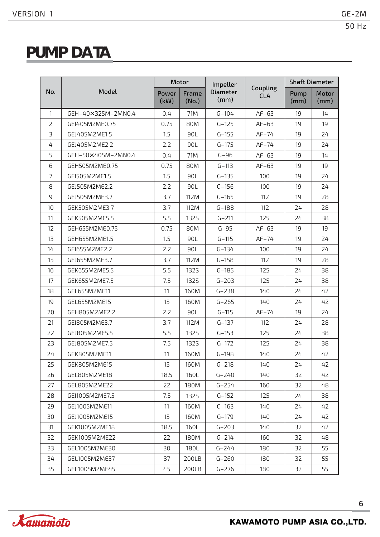# **PUMP DATA**

|                |                    |               | Motor          | Impeller                |                        |              | <b>Shaft Diameter</b> |
|----------------|--------------------|---------------|----------------|-------------------------|------------------------|--------------|-----------------------|
| No.            | Model              | Power<br>(kW) | Frame<br>(No.) | <b>Diameter</b><br>(mm) | Coupling<br><b>CLA</b> | Pump<br>(mm) | Motor<br>(mm)         |
| 1              | GEH-40×325M-2MN0.4 | 0.4           | 71M            | $G - 104$               | $AF-63$                | 19           | 14                    |
| 2              | GEI405M2ME0.75     | 0.75          | 80M            | $G - 125$               | $AF-63$                | 19           | 19                    |
| $\overline{3}$ | GEJ405M2ME1.5      | 1.5           | 90L            | $G - 155$               | $AF-74$                | 19           | 24                    |
| 4              | GEJ405M2ME2.2      | 2.2           | 90L            | $G - 175$               | $AF-74$                | 19           | 24                    |
| 5              | GEH-50×405M-2MN0.4 | 0.4           | 71M            | $G-96$                  | $AF-63$                | 19           | 14                    |
| 6              | GEH505M2ME0.75     | 0.75          | 80M            | $G-113$                 | $AF-63$                | 19           | 19                    |
| $\overline{7}$ | GEI505M2ME1.5      | 1.5           | 90L            | $G - 135$               | 100                    | 19           | 24                    |
| 8              | GEJ505M2ME2.2      | 2.2           | 90L            | $G - 156$               | 100                    | 19           | 24                    |
| 9              | GEJ505M2ME3.7      | 3.7           | 112M           | $G-165$                 | 112                    | 19           | 28                    |
| 10             | GEK505M2ME3.7      | 3.7           | 112M           | $G-188$                 | 112                    | 24           | 28                    |
| 11             | GEK505M2ME5.5      | 5.5           | 1325           | $G - 211$               | 125                    | 24           | 38                    |
| 12             | GEH655M2ME0.75     | 0.75          | 80M            | $G-95$                  | $AF-63$                | 19           | 19                    |
| 13             | GEH655M2ME1.5      | 1.5           | 90L            | $G - 115$               | $AF-74$                | 19           | 24                    |
| 14             | GEI655M2ME2.2      | 2.2           | 90L            | $G - 134$               | 100                    | 19           | 24                    |
| 15             | GEJ655M2ME3.7      | 3.7           | 112M           | $G-158$                 | 112                    | 19           | 28                    |
| 16             | GEK655M2ME5.5      | 5.5           | <b>1325</b>    | $G-185$                 | 125                    | 24           | 38                    |
| 17             | GEK655M2ME7.5      | 7.5           | <b>1325</b>    | $G - 203$               | 125                    | 24           | 38                    |
| 18             | GEL655M2ME11       | 11            | 160M           | $G - 238$               | 140                    | 24           | 42                    |
| 19             | GEL655M2ME15       | 15            | 160M           | $G - 265$               | 140                    | 24           | 42                    |
| 20             | GEH805M2ME2.2      | 2.2           | 90L            | $G - 115$               | $AF-74$                | 19           | 24                    |
| 21             | GEI805M2ME3.7      | 3.7           | 112M           | $G-137$                 | 112                    | 24           | 28                    |
| 22             | GEJ805M2ME5.5      | 5.5           | <b>1325</b>    | $G - 153$               | 125                    | 24           | 38                    |
| 23             | GEJ805M2ME7.5      | 7.5           | <b>1325</b>    | $G - 172$               | 125                    | 24           | 38                    |
| 24             | GEK805M2ME11       | 11            | 160M           | $G-198$                 | 140                    | 24           | 42                    |
| 25             | GEK805M2ME15       | 15            | 160M           | $G - 218$               | 140                    | 24           | 42                    |
| 26             | GEL805M2ME18       | 18.5          | 160L           | $G - 240$               | 140                    | 32           | 42                    |
| 27             | GEL805M2ME22       | 22            | 180M           | $G - 254$               | 160                    | 32           | 48                    |
| 28             | GEI1005M2ME7.5     | 7.5           | <b>1325</b>    | $G-152$                 | 125                    | 24           | 38                    |
| 29             | GEJ1005M2ME11      | 11            | 160M           | $G-163$                 | 140                    | 24           | 42                    |
| 30             | GEJ1005M2ME15      | 15            | 160M           | $G-179$                 | 140                    | 24           | 42                    |
| 31             | GEK1005M2ME18      | 18.5          | 160L           | $G - 203$               | 140                    | 32           | 42                    |
| 32             | GEK1005M2ME22      | 22            | 180M           | $G - 214$               | 160                    | 32           | 48                    |
| 33             | GEL1005M2ME30      | 30            | 180L           | $G - 244$               | 180                    |              | 55                    |
| 34             | GEL1005M2ME37      | 37            | 200LB          | $G - 260$               | 180                    | 32           | 55                    |
| 35             | GEL1005M2ME45      | 45            | 200LB          | $G - 276$               | 180                    | 32           | 55                    |

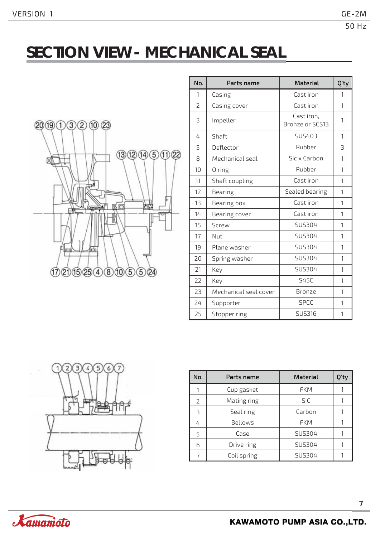# **SECTION VIEW - MECHANICAL SEAL**



| No.                      | Parts name            | <b>Material</b>               | Q'ty                     |
|--------------------------|-----------------------|-------------------------------|--------------------------|
| 1                        | Casing                | Cast iron                     | 1                        |
| $\overline{\phantom{a}}$ | Casing cover          | Cast iron                     | 1                        |
| 3                        | Impeller              | Cast iron,<br>Bronze or SCS13 | 1                        |
| 4                        | Shaft                 | <b>SUS403</b>                 | 1                        |
| 5                        | Deflector             | Rubber                        | $\overline{\mathcal{L}}$ |
| 8                        | Mechanical seal       | Sic x Carbon                  | 1                        |
| 10                       | 0 ring                | Rubber                        | 1                        |
| 11                       | Shaft coupling        | Cast iron                     | 1                        |
| 12                       | Bearing               | Sealed bearing                | 1                        |
| 13                       | Bearing box           | Cast iron                     | 1                        |
| 14                       | Bearing cover         | Cast iron                     | 1                        |
| 15                       | Screw                 | SUS304                        | 1                        |
| 17                       | Nut                   | SUS304                        | 1                        |
| 19                       | Plane washer          | <b>SUS304</b>                 | 1                        |
| 20                       | Spring washer         | <b>SUS304</b>                 | 1                        |
| 21                       | Key                   | <b>SUS304</b>                 | 1                        |
| 22                       | Key                   | <b>S45C</b>                   | 1                        |
| 23                       | Mechanical seal cover | Bronze                        | 1                        |
| 24                       | Supporter             | <b>SPCC</b>                   | 1                        |
| 25                       | Stopper ring          | <b>SUS316</b>                 | 1                        |



| No.          | Parts name  | <b>Material</b> | Q'ty |
|--------------|-------------|-----------------|------|
|              | Cup gasket  | <b>FKM</b>      |      |
| $\mathsf{Z}$ | Mating ring | <b>SIC</b>      |      |
| З            | Seal ring   | Carbon          |      |
| 4            | Bellows     | <b>FKM</b>      |      |
| 5            | Case        | SUS304          |      |
| 6            | Drive ring  | SUS304          |      |
|              | Coil spring | SUS304          |      |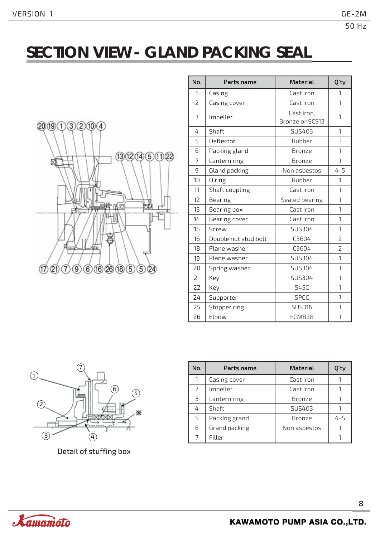# **SECTION VIEW - GLAND PACKING SEAL**



| No. | Parts name           | <b>Material</b>                      | Q'ty           |
|-----|----------------------|--------------------------------------|----------------|
| 1   | Casing               | Cast iron                            | 1              |
| 2   | Casing cover         | Cast iron                            | 1              |
| 3   | Impeller             | Cast iron,<br><b>Bronze or SCS13</b> | $\mathbf{1}$   |
| 4   | Shaft                | SUS403                               | 1              |
| 5   | Deflector            | Rubber                               | 3              |
| 6   | Packing gland        | <b>Bronze</b>                        | 1              |
| 7   | Lantern ring         | <b>Bronze</b>                        | 1              |
| 9   | Gland packing        | Non asbestos                         | $4 - 5$        |
| 10  | 0 ring               | Rubber                               | 1              |
| 11  | Shaft coupling       | Cast iron                            | 1              |
| 12  | Bearing              | Sealed bearing                       | 1              |
| 13  | Bearing box          | Cast iron                            | 1              |
| 14  | Bearing cover        | Cast iron                            | 1              |
| 15  | Screw                | SUS304                               | $\mathbf{1}$   |
| 16  | Double nut stud bolt | C3604                                | $\overline{2}$ |
| 18  | Plane washer         | C3604                                | $\overline{2}$ |
| 19  | Plane washer         | SUS304                               | 1              |
| 20  | Spring washer        | SUS304                               | 1              |
| 21  | Key                  | SUS304                               | 1              |
| 22  | Key                  | <b>S45C</b>                          | $\mathbf{1}$   |
| 24  | Supporter            | <b>SPCC</b>                          | 1              |
| 25  | Stopper ring         | <b>SUS316</b>                        | 1              |
| 26  | Elbow                | FCMB28                               | 1              |



Detail of stuffing box

| No.           | Parts name    | <b>Material</b> | ۱'t۱    |
|---------------|---------------|-----------------|---------|
|               | Casing cover  | Cast iron       |         |
| $\mathcal{L}$ | Impeller      | Cast iron       |         |
| 3             | Lantern ring  | <b>Bronze</b>   |         |
| 4             | Shaft         | SUS403          |         |
| 5             | Packing grand | <b>Bronze</b>   | $4 - 5$ |
| 6             | Grand packing | Non asbestos    |         |
|               | Filler        |                 |         |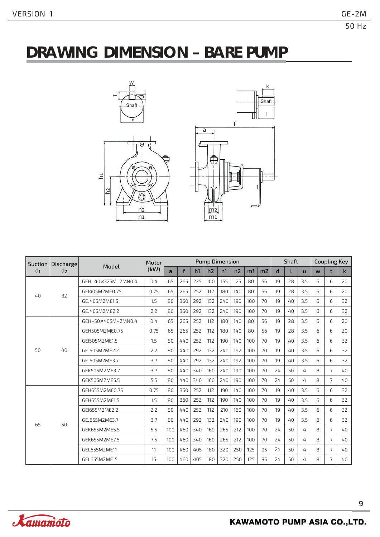# **DRAWING DIMENSION – BARE PUMP**





| Suction                          | Discharge | Model              | Motor | <b>Pump Dimension</b> |     |     |     |     |                |     | <b>Shaft</b>   |    |          | <b>Coupling Key</b> |   |                |              |
|----------------------------------|-----------|--------------------|-------|-----------------------|-----|-----|-----|-----|----------------|-----|----------------|----|----------|---------------------|---|----------------|--------------|
| d <sub>1</sub><br>d <sub>2</sub> |           |                    | (kW)  | $\overline{a}$        | f   | h1  | h2  | n1  | n <sub>2</sub> | m1  | m <sub>2</sub> | d  |          | $\mathbf{H}$        | W | t              | $\mathsf{k}$ |
|                                  |           | GEH-40×325M-2MN0.4 | 0.4   | 65                    | 265 | 225 | 100 | 155 | 125            | 80  | 56             | 19 | 28       | 3.5                 | 6 | 6              | 20           |
| $40^{1}$                         | 32        | GEI405M2ME0.75     | 0.75  | 65                    | 265 | 252 | 112 | 180 | 140            | 80  | 56             | 19 | 28       | 3.5                 | 6 | 6              | 20           |
|                                  |           | GEJ405M2ME1.5      | 1.5   | 80                    | 360 | 292 | 132 | 240 | 190            | 100 | 70             | 19 | $40^{1}$ | 3.5                 | 6 | 6              | 32           |
| 50                               |           | GEJ405M2ME2.2      | 2.2   | 80                    | 360 | 292 | 132 | 240 | 190            | 100 | 70             | 19 | $40^{1}$ | 3.5                 | 6 | 6              | 32           |
|                                  |           | GEH-50×405M-2MN0.4 | 0.4   | 65                    | 265 | 252 | 112 | 180 | 140            | 80  | 56             | 19 | 28       | 3.5                 | 6 | 6              | 20           |
|                                  |           | GEH505M2ME0.75     | 0.75  | 65                    | 265 | 252 | 112 | 180 | 140            | 80  | 56             | 19 | 28       | 3.5                 | 6 | 6              | 20           |
|                                  |           | GEI505M2ME1.5      | 1.5   | 80                    | 440 | 252 | 112 | 190 | 140            | 100 | 70             | 19 | $40^{1}$ | 3.5                 | 6 | 6              | 32           |
|                                  | 40        | GEJ505M2ME2.2      | 2.2   | 80                    | 440 | 292 | 132 | 240 | 192            | 100 | 70             | 19 | $40^{1}$ | 3.5                 | 6 | 6              | 32           |
|                                  |           | GEJ505M2ME3.7      | 3.7   | 80                    | 440 | 292 | 132 | 240 | 192            | 100 | 70             | 19 | $40^{1}$ | 3.5                 | 6 | 6              | 32           |
|                                  |           | GEK505M2ME3.7      | 3.7   | 80                    | 440 | 340 | 160 | 240 | 190            | 100 | 70             | 24 | 50       | 4                   | 8 | $\overline{7}$ | 40           |
|                                  |           | GEK505M2ME5.5      | 5.5   | 80                    | 440 | 340 | 160 | 240 | 190            | 100 | 70             | 24 | 50       | 4                   | 8 | $\overline{7}$ | 40           |
|                                  |           | GEH655M2ME0.75     | 0.75  | 80                    | 360 | 252 | 112 | 190 | 140            | 100 | 70             | 19 | $40^{1}$ | 3.5                 | 6 | 6              | 32           |
|                                  |           | GEH655M2ME1.5      | 1.5   | 80                    | 360 | 252 | 112 | 190 | 140            | 100 | 70             | 19 | $40^{1}$ | 3.5                 | 6 | 6              | 32           |
|                                  |           | GEI655M2ME2.2      | 2.2   | 80                    | 440 | 252 | 112 | 210 | 160            | 100 | 70             | 19 | $40^{1}$ | 3.5                 | 6 | 6              | 32           |
| 65                               | 50        | GEJ655M2ME3.7      | 3.7   | 80                    | 440 | 292 | 132 | 240 | 190            | 100 | 70             | 19 | $40^{1}$ | 3.5                 | 6 | 6              | 32           |
|                                  |           | GEK655M2ME5.5      | 5.5   | 100                   | 460 | 340 | 160 | 265 | 212            | 100 | 70             | 24 | 50       | 4                   | 8 | $\overline{7}$ | $40^{1}$     |
|                                  |           | GEK655M2ME7.5      | 7.5   | 100                   | 460 | 340 | 160 | 265 | 212            | 100 | 70             | 24 | 50       | 4                   | 8 | $\overline{7}$ | 40           |
|                                  |           | GEL655M2ME11       | 11    | 100                   | 460 | 405 | 180 | 320 | 250            | 125 | 95             | 24 | 50       | 4                   | 8 | $\overline{7}$ | $40^{1}$     |
|                                  |           | GEL655M2ME15       | 15    | 100                   | 460 | 405 | 180 | 320 | 250            | 125 | 95             | 24 | 50       | 4                   | 8 | $\overline{7}$ | 40           |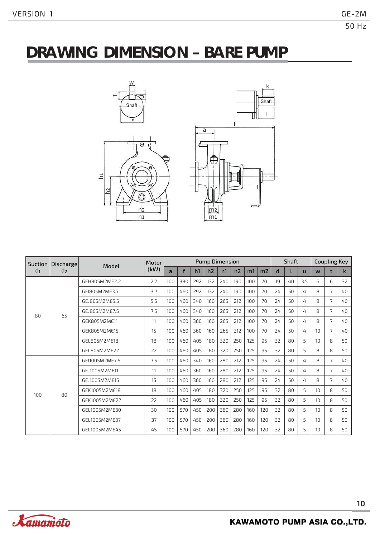# **DRAWING DIMENSION – BARE PUMP**





| <b>Suction</b> | Discharge      | Model          | Motor |                | <b>Pump Dimension</b> |     |     |     |     |     |                | Shaft |    |                | <b>Coupling Key</b> |                |              |
|----------------|----------------|----------------|-------|----------------|-----------------------|-----|-----|-----|-----|-----|----------------|-------|----|----------------|---------------------|----------------|--------------|
| d <sub>1</sub> | d <sub>2</sub> |                | (kW)  | $\overline{a}$ | f                     | h1  | h2  | n1  | n2  | m1  | m <sub>2</sub> | d     |    | $\mathbf{u}$   | W                   | t              | $\mathsf{k}$ |
|                |                | GEH805M2ME2.2  | 2.2   | 100            | 380                   | 292 | 132 | 240 | 190 | 100 | 70             | 19    | 40 | 3.5            | 6                   | 6              | 32           |
| 80             |                | GEI805M2ME3.7  | 3.7   | 100            | 460                   | 292 | 132 | 240 | 190 | 100 | 70             | 24    | 50 | 4              | 8                   | 7              | $40^{1}$     |
|                |                | GEI805M2ME5.5  | 5.5   | 100            | 460                   | 340 | 160 | 265 | 212 | 100 | 70             | 24    | 50 | 4              | 8                   | $\overline{7}$ | $40^{1}$     |
|                | 65             | GEI805M2ME7.5  | 7.5   | 100            | 460                   | 340 | 160 | 265 | 212 | 100 | 70             | 24    | 50 | 4              | 8                   | 7              | $40^{1}$     |
|                |                | GEK805M2ME11   | 11    | 100            | 460                   | 360 | 160 | 265 | 212 | 100 | 70             | 24    | 50 | 4              | 8                   | $\overline{7}$ | $40^{1}$     |
|                |                | GEK805M2ME15   | 15    | 100            | 460                   | 360 | 160 | 265 | 212 | 100 | 70             | 24    | 50 | 4              | 10                  | $\overline{7}$ | 40           |
|                |                | GEL805M2ME18   | 18    | 100            | 460                   | 405 | 180 | 320 | 250 | 125 | 95             | 32    | 80 | $\overline{5}$ | 10                  | 8              | 50           |
|                |                | GEL805M2ME22   | 22    | 100            | 460                   | 405 | 180 | 320 | 250 | 125 | 95             | 32    | 80 | 5              | 8                   | 8              | 50           |
|                |                | GEI1005M2ME7.5 | 7.5   | 100            | 460                   | 340 | 160 | 280 | 212 | 125 | 95             | 24    | 50 | 4              | 8                   | $\overline{7}$ | 40           |
|                |                | GEJ1005M2ME11  | 11    | 100            | 460                   | 360 | 160 | 280 | 212 | 125 | 95             | 24    | 50 | 4              | 8                   | $\overline{7}$ | $40^{1}$     |
|                |                | GEJ1005M2ME15  | 15    | 100            | 460                   | 360 | 160 | 280 | 212 | 125 | 95             | 24    | 50 | 4              | 8                   | 7              | $40^{1}$     |
| 100            | 80             | GEK1005M2ME18  | 18    | 100            | 460                   | 405 | 180 | 320 | 250 | 125 | 95             | 32    | 80 | $\overline{5}$ | 10 <sup>1</sup>     | 8              | 50           |
|                |                | GEK1005M2ME22  | 22    | 100            | 460                   | 405 | 180 | 320 | 250 | 125 | 95             | 32    | 80 | 5              | 10 <sup>10</sup>    | 8              | 50           |
|                |                | GEL1005M2ME30  | 30    | 100            | 570                   | 450 | 200 | 360 | 280 | 160 | 120            | 32    | 80 | 5              | 10 <sup>1</sup>     | 8              | 50           |
|                |                | GEL1005M2ME37  | 37    | 100            | 570                   | 450 | 200 | 360 | 280 | 160 | 120            | 32    | 80 | 5              | 10 <sup>1</sup>     | 8              | 50           |
|                |                | GEL1005M2ME45  | 45    | 100            | 570                   | 450 | 200 | 360 | 280 | 160 | 120            | 32    | 80 | 5              | 10 <sup>10</sup>    | 8              | 50           |

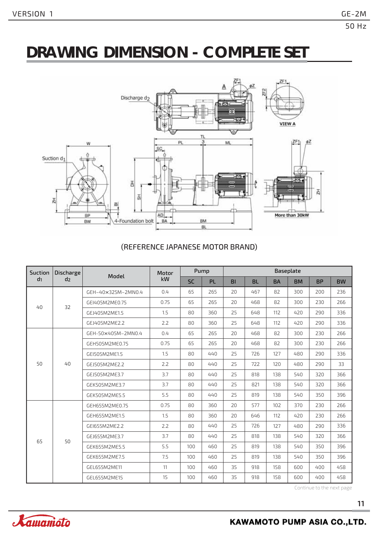# **DRAWING DIMENSION - COMPLETE SET**



#### (REFERENCE JAPANESE MOTOR BRAND)

| Suction | Discharge      | Model              | Motor |           | Pump      |           |           |           | Baseplate |           |           |
|---------|----------------|--------------------|-------|-----------|-----------|-----------|-----------|-----------|-----------|-----------|-----------|
| $d_1$   | d <sub>2</sub> |                    | kW    | <b>SC</b> | <b>PL</b> | <b>BI</b> | <b>BL</b> | <b>BA</b> | <b>BM</b> | <b>BP</b> | <b>BW</b> |
|         |                | GEH-40×325M-2MN0.4 | 0.4   | 65        | 265       | 20        | 467       | 82        | 300       | 200       | 236       |
| 40      | 32             | GEI405M2ME0.75     | 0.75  | 65        | 265       | 20        | 468       | 82        | 300       | 230       | 266       |
|         |                | GEJ405M2ME1.5      | 1.5   | 80        | 360       | 25        | 648       | 112       | 420       | 290       | 336       |
|         |                | GEJ405M2ME2.2      | 2.2   | 80        | 360       | 25        | 648       | 112       | 420       | 290       | 336       |
|         |                | GEH-50×405M-2MN0.4 | 0.4   | 65        | 265       | 20        | 468       | 82        | 300       | 230       | 266       |
|         |                | GEH505M2ME0.75     | 0.75  | 65        | 265       | 20        | 468       | 82        | 300       | 230       | 266       |
|         |                | GEI505M2ME1.5      | 1.5   | 80        | 440       | 25        | 726       | 127       | 480       | 290       | 336       |
| 50      | 40             | GEJ505M2ME2.2      | 2.2   | 80        | 440       | 25        | 722       | 120       | 480       | 290       | 33        |
|         |                | GEJ505M2ME3.7      | 3.7   | 80        | 440       | 25        | 818       | 138       | 540       | 320       | 366       |
|         |                | GEK505M2ME3.7      | 3.7   | 80        | 440       | 25        | 821       | 138       | 540       | 320       | 366       |
|         |                | GEK505M2ME5.5      | 5.5   | 80        | 440       | 25        | 819       | 138       | 540       | 350       | 396       |
|         |                | GEH655M2ME0.75     | 0.75  | 80        | 360       | 20        | 577       | 102       | 370       | 230       | 266       |
|         |                | GEH655M2ME1.5      | 1.5   | 80        | 360       | 20        | 646       | 112       | 420       | 230       | 266       |
|         |                | GEI655M2ME2.2      | 2.2   | 80        | 440       | 25        | 726       | 127       | 480       | 290       | 336       |
| 65      | 50             | GEJ655M2ME3.7      | 3.7   | 80        | 440       | 25        | 818       | 138       | 540       | 320       | 366       |
|         |                | GEK655M2ME5.5      | 5.5   | 100       | 460       | 25        | 819       | 138       | 540       | 350       | 396       |
|         |                | GEK655M2ME7.5      | 7.5   | 100       | 460       | 25        | 819       | 138       | 540       | 350       | 396       |
|         |                | GEL655M2ME11       | 11    | 100       | 460       | 35        | 918       | 158       | 600       | 400       | 458       |
|         |                | GEL655M2ME15       | 15    | 100       | 460       | 35        | 918       | 158       | 600       | 400       | 458       |

Continue to the next page

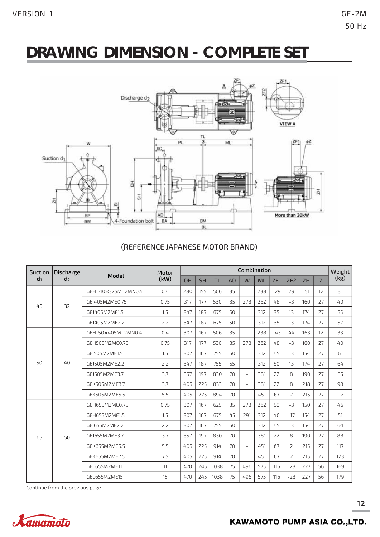# **DRAWING DIMENSION - COMPLETE SET**



#### (REFERENCE JAPANESE MOTOR BRAND)

| <b>Suction</b> | <b>Discharge</b> | Model              | Motor | Combination |           |           |           |                          |           |       |                 |           |    | Weight |
|----------------|------------------|--------------------|-------|-------------|-----------|-----------|-----------|--------------------------|-----------|-------|-----------------|-----------|----|--------|
| d <sub>1</sub> | d <sub>2</sub>   |                    | (kW)  | <b>DH</b>   | <b>SH</b> | <b>TL</b> | <b>AD</b> | W                        | <b>ML</b> | ZF1   | ZF <sub>2</sub> | <b>ZH</b> | Z  | (kg)   |
| $40^{1}$       | 32               | GEH-40×325M-2MN0.4 | 0.4   | 280         | 155       | 506       | 35        | $\overline{\phantom{a}}$ | 238       | $-29$ | 29              | 151       | 12 | 31     |
|                |                  | GEI405M2ME0.75     | 0.75  | 317         | 177       | 530       | 35        | 278                      | 262       | 48    | $-3$            | 160       | 27 | 40     |
|                |                  | GEJ405M2ME1.5      | 1.5   | 347         | 187       | 675       | 50        | $\bar{ }$                | 312       | 35    | 13              | 174       | 27 | 55     |
|                |                  | GEJ405M2ME2.2      | 2.2   | 347         | 187       | 675       | 50        | $\bar{ }$                | 312       | 35    | 13              | 174       | 27 | 57     |
| 50             | 40               | GEH-50×405M-2MN0.4 | 0.4   | 307         | 167       | 506       | 35        | $\overline{\phantom{a}}$ | 238       | $-43$ | 44              | 163       | 12 | 33     |
|                |                  | GEH505M2ME0.75     | 0.75  | 317         | 177       | 530       | 35        | 278                      | 262       | 48    | $-3$            | 160       | 27 | 40     |
|                |                  | GEI505M2ME1.5      | 1.5   | 307         | 167       | 755       | 60        | $\overline{\phantom{a}}$ | 312       | 45    | 13              | 154       | 27 | 61     |
|                |                  | GEJ505M2ME2.2      | 2.2   | 347         | 187       | 755       | 55        | $\overline{a}$           | 312       | 50    | 13              | 174       | 27 | 64     |
|                |                  | GEJ505M2ME3.7      | 3.7   | 357         | 197       | 830       | 70        | $\overline{\phantom{a}}$ | 381       | 22    | 8               | 190       | 27 | 85     |
|                |                  | GEK505M2ME3.7      | 3.7   | 405         | 225       | 833       | 70        | $\bar{ }$                | 381       | 22    | 8               | 218       | 27 | 98     |
|                |                  | GEK505M2ME5.5      | 5.5   | 405         | 225       | 894       | 70        | $\bar{\phantom{a}}$      | 451       | 67    | $\overline{2}$  | 215       | 27 | 112    |
| 65             | 50               | GEH655M2ME0.75     | 0.75  | 307         | 167       | 625       | 35        | 278                      | 262       | 58    | $-3$            | 150       | 27 | 46     |
|                |                  | GEH655M2ME1.5      | 1.5   | 307         | 167       | 675       | 45        | 291                      | 312       | 40    | $-17$           | 154       | 27 | 51     |
|                |                  | GEI655M2ME2.2      | 2.2   | 307         | 167       | 755       | 60        | $\bar{ }$                | 312       | 45    | 13              | 154       | 27 | 64     |
|                |                  | GEJ655M2ME3.7      | 3.7   | 357         | 197       | 830       | 70        | $\bar{\phantom{a}}$      | 381       | 22    | 8               | 190       | 27 | 88     |
|                |                  | GEK655M2ME5.5      | 5.5   | 405         | 225       | 914       | 70        | $\overline{\phantom{a}}$ | 451       | 67    | 2               | 215       | 27 | 117    |
|                |                  | GEK655M2ME7.5      | 7.5   | 405         | 225       | 914       | 70        | $\bar{\phantom{a}}$      | 451       | 67    | $\overline{2}$  | 215       | 27 | 123    |
|                |                  | GEL655M2ME11       | 11    | 470         | 245       | 1038      | 75        | 496                      | 575       | 116   | $-23$           | 227       | 56 | 169    |
|                |                  | GEL655M2ME15       | 15    | 470         | 245       | 1038      | 75        | 496                      | 575       | 116   | $-23$           | 227       | 56 | 179    |

Continue from the previous page

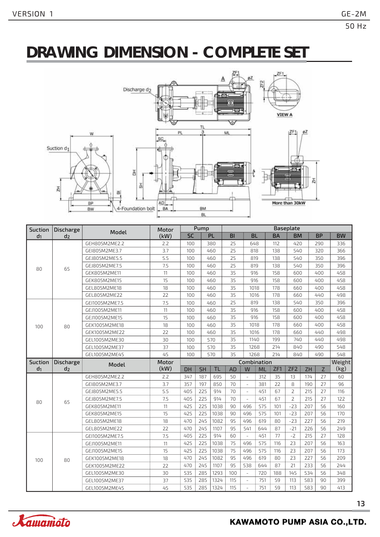# **DRAWING DIMENSION - COMPLETE SET**



| Suction        | <b>Discharge</b> |                | Motor | Pump      |           |           | Baseplate |                          |            |           |                 |            |                |           |
|----------------|------------------|----------------|-------|-----------|-----------|-----------|-----------|--------------------------|------------|-----------|-----------------|------------|----------------|-----------|
| d <sub>1</sub> | d <sub>2</sub>   | Model          | (kW)  | <b>SC</b> |           | PL        | BI        | <b>BL</b>                |            | <b>BA</b> | <b>BM</b>       |            | <b>BP</b>      | <b>BW</b> |
|                | 65               | GEH805M2ME2.2  | 2.2   | 100       |           | 380       | 25        | 648                      |            | 112       | 420             |            | 290            | 336       |
|                |                  | GEI805M2ME3.7  | 3.7   | 100       |           | 460       | 25        | 818                      |            | 138       | 540             |            | 320            | 366       |
|                |                  | GEJ805M2ME5.5  | 5.5   | 100       |           | 460       | 25        | 819                      |            | 138       | 540             |            | 350            | 396       |
| 80             |                  | GEJ805M2ME7.5  | 7.5   | 100       |           | 460       | 25        | 819                      |            | 138       | 540             |            | 350            | 396       |
|                |                  | GEK805M2ME11   | 11    | 100       |           | 460       | 35        | 916                      |            | 158       | 600             |            | 400            | 458       |
|                |                  | GEK805M2ME15   | 15    | 100       |           | 460       | 35        | 916                      |            | 158       | 600             |            | 400            | 458       |
|                |                  | GEL805M2ME18   | 18    | 100       |           | 460       | 35        | 1018                     |            | 178       |                 | 660<br>400 |                | 458       |
|                |                  | GEL805M2ME22   | 22    | 100       |           | 460       | 35        | 1016                     |            | 178       | 660             |            | 440            | 498       |
| 100            | 80               | GEI1005M2ME7.5 | 7.5   | 100       |           | 460       | 25        | 819                      |            | 138       | 540             |            | 350            | 396       |
|                |                  | GEJ1005M2ME11  | 11    | 100       |           | 460       | 35        | 916                      |            | 158       | 600             |            | 400            | 458       |
|                |                  | GEJ1005M2ME15  | 15    | 100       |           | 460       | 35        | 916                      |            | 158       | 600             |            | 400            | 458       |
|                |                  | GEK1005M2ME18  | 18    | 100       |           | 460       | 35        | 1018                     |            | 178       | 660             |            | 400            | 458       |
|                |                  | GEK1005M2ME22  | 22    | 100       |           | 460       | 35        | 1016                     |            | 178       | 660             |            | 440            | 498       |
|                |                  | GEL1005M2ME30  | 30    | 100       |           | 570       | 35        | 1140                     |            | 199       | 740             |            | 440            | 498       |
|                |                  | GEL1005M2ME37  | 37    | 100       |           | 570       | 35        | 1268                     |            | 214       | 840             |            | 490            | 548       |
|                |                  | GEL1005M2ME45  | 45    | 100       |           | 570       | 35        | 1268                     |            | 214       | 840             |            | 490            | 548       |
|                |                  |                |       |           |           |           |           |                          |            |           |                 |            |                |           |
| <b>Suction</b> | Discharge        |                | Motor |           |           |           |           | Combination              |            |           |                 |            |                | Weight    |
| d <sub>1</sub> | d <sub>2</sub>   | Model          | (kW)  | <b>DH</b> | <b>SH</b> | <b>TL</b> | <b>AD</b> | W                        | ML         | ZF1       | ZF <sub>2</sub> | ZH         | $\overline{Z}$ | (kg)      |
|                |                  | GEH805M2ME2.2  | 2.2   | 347       | 187       | 695       | 50        | $\omega$                 | 312        | 35        | 13              | 174        | 27             | 60        |
|                |                  | GEI805M2ME3.7  | 3.7   | 357       | 197       | 850       | 70        | $\omega$                 | 381        | 22        | 8               | 190        | 27             | 96        |
|                |                  | GEJ805M2ME5.5  | 5.5   | 405       | 225       | 914       | 70        | $\equiv$                 | 451        | 67        | $\overline{2}$  | 215        | 27             | 116       |
|                |                  | GEJ805M2ME7.5  | 7.5   | 405       | 225       | 914       | 70        | $\bar{a}$                | 451        | 67        | $\overline{2}$  | 215        | 27             | 122       |
| 80             | 65               | GEK805M2ME11   | 11    | 425       | 225       | 1038      | 90        | 496                      | 575        | 101       | $-23$           | 207        | 56             | 160       |
|                |                  | GEK805M2ME15   | 15    | 425       | 225       | 1038      | 90        | 496                      | 575        | 101       | $-23$           | 207        | 56             | 170       |
|                |                  | GEL805M2ME18   | 18    | 470       | 245       | 1082      | 95        | 496                      | 619        | 80        | $-23$           | 227        | 56             | 219       |
|                |                  | GEL805M2ME22   | 22    | 470       | 245       | 1107      | 95        | 541                      | 644        | 87        | $-21$           | 226        | 56             | 249       |
|                |                  | GEI1005M2ME7.5 | 7.5   | 405       | 225       | 914       | 60        | $\sim$                   | 451        | 77        | $-2$            | 215        | 27             | 128       |
|                |                  | GEJ1005M2ME11  | 11    | 425       | 225       | 1038      | 75        | 496                      | 575        | 116       | 23              | 207        | 56             | 163       |
|                |                  | GEJ1005M2ME15  | 15    | 425       | 225       | 1038      | 75        | 496                      | 575        | 116       | 23              | 207        | 56             | 173       |
| 100            | 80               | GEK1005M2ME18  | 18    | 470       | 245       | 1082      | 95        | 496                      | 619        | 80        | 23              | 227        | 56             | 209       |
|                |                  | GEK1005M2ME22  | 22    | 470       | 245       | 1107      | 95        | 538                      | 644        | 87        | 21              | 233        | 56             | 244       |
|                |                  | GEL1005M2ME30  | 30    | 535       | 285       | 1293      | 100       | $\overline{\phantom{a}}$ | 720        | 188       | 145             | 534        | 56             | 348       |
|                |                  | GEL1005M2ME37  | 37    | 535       | 285       | 1324      | 115       | $\equiv$                 | 751<br>751 | 59        | 113             | 583        | 90             | 399       |

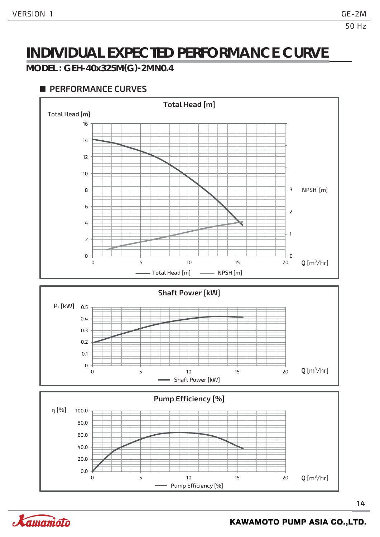**MODEL : GEH-40x325M(G)-2MN0.4**



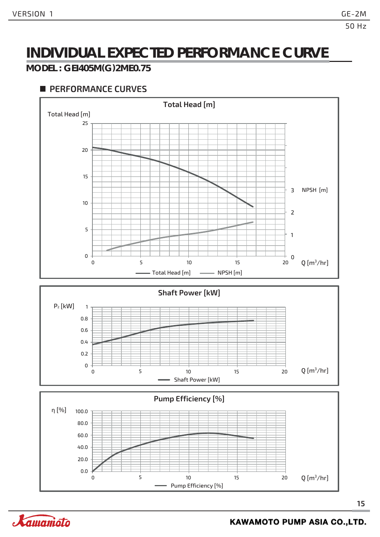#### **MODEL : GEI405M(G)2ME0.75**



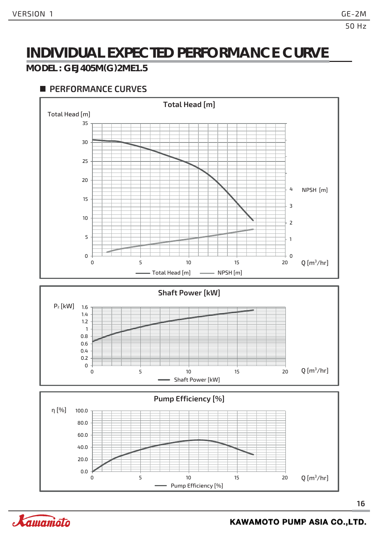#### **MODEL : GEJ405M(G)2ME1.5**

#### **PERFORMANCE CURVES**



**16**

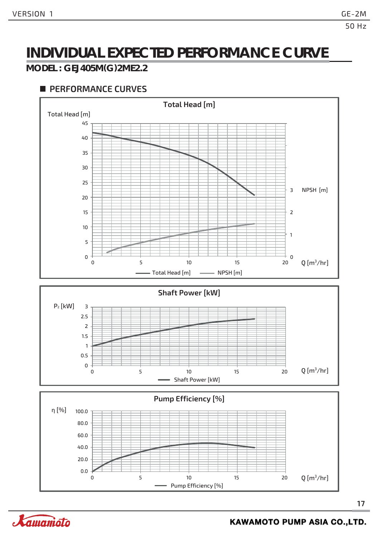#### **MODEL : GEJ405M(G)2ME2.2**



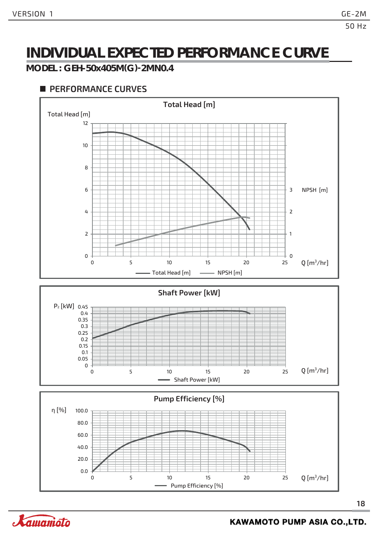**MODEL : GEH-50x405M(G)-2MN0.4**



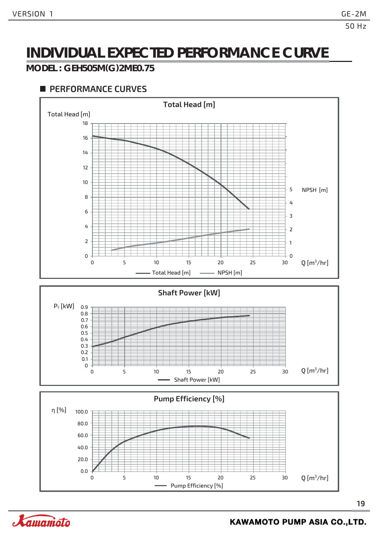#### **MODEL : GEH505M(G)2ME0.75**



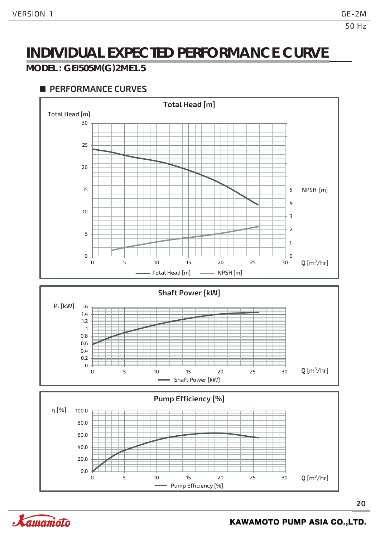#### **MODEL : GEI505M(G)2ME1.5**



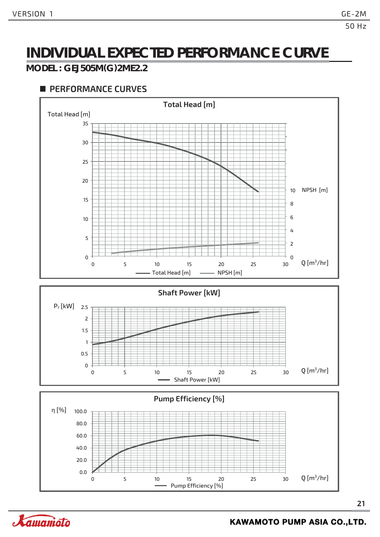#### **MODEL : GEJ505M(G)2ME2.2**



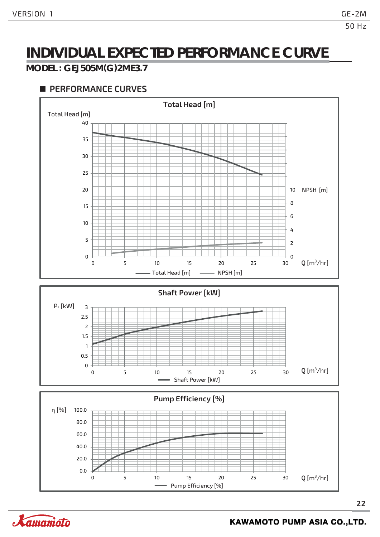#### **MODEL : GEJ505M(G)2ME3.7**

#### **PERFORMANCE CURVES**



**22**

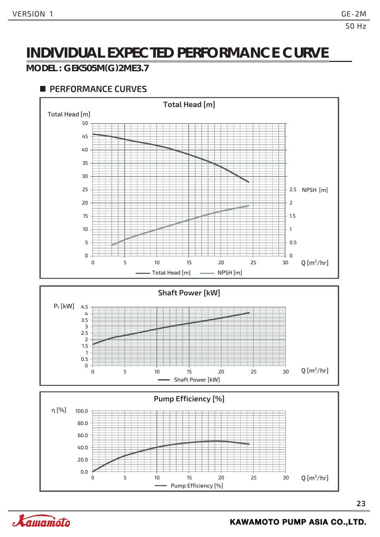#### **MODEL : GEK505M(G)2ME3.7**

#### **PERFORMANCE CURVES**



**23**

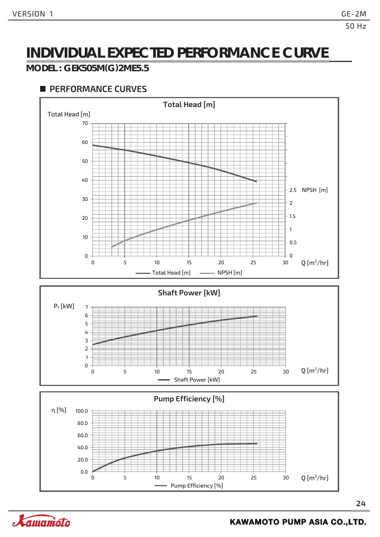#### **MODEL : GEK505M(G)2ME5.5**



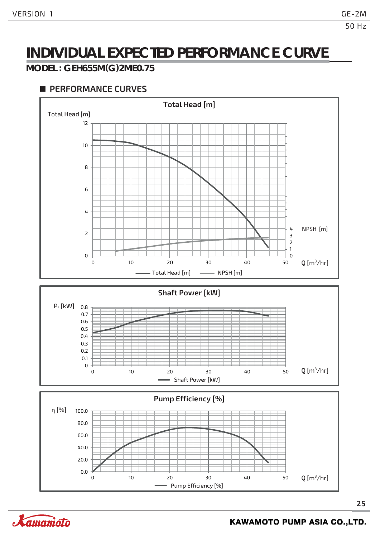#### **MODEL : GEH655M(G)2ME0.75**



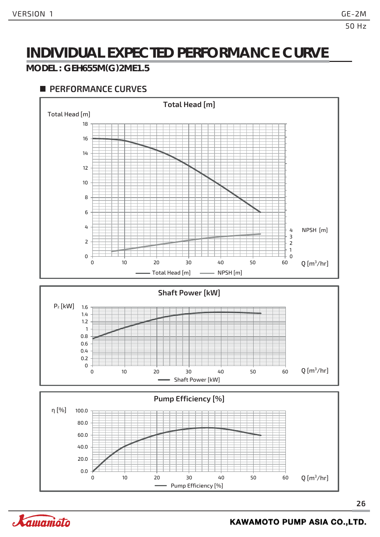#### **MODEL : GEH655M(G)2ME1.5**



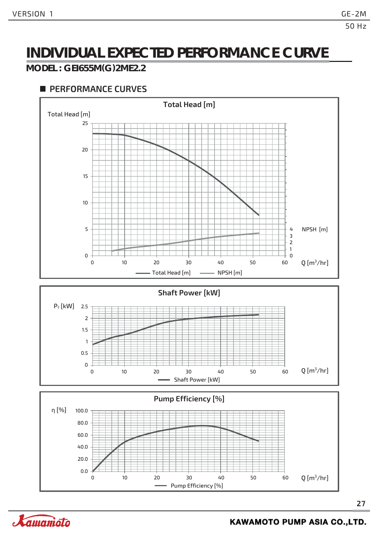#### **MODEL : GEI655M(G)2ME2.2**

#### **PERFORMANCE CURVES**





**27**

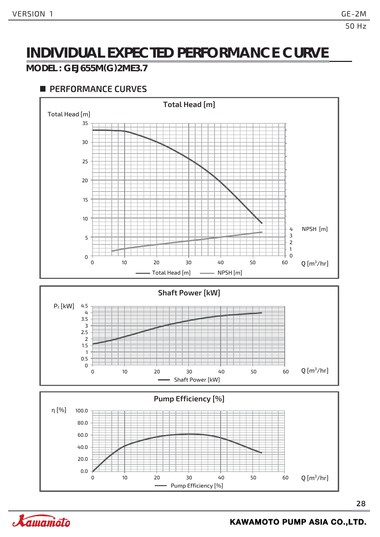#### **MODEL : GEJ655M(G)2ME3.7**



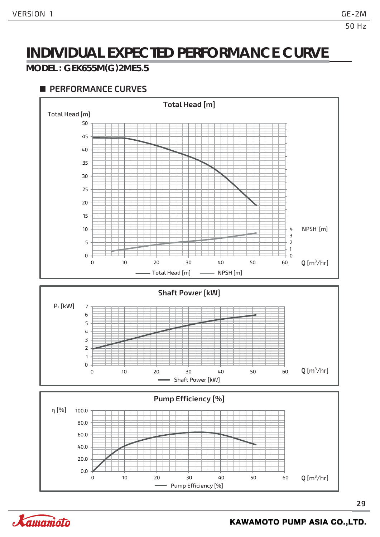#### **MODEL : GEK655M(G)2ME5.5**



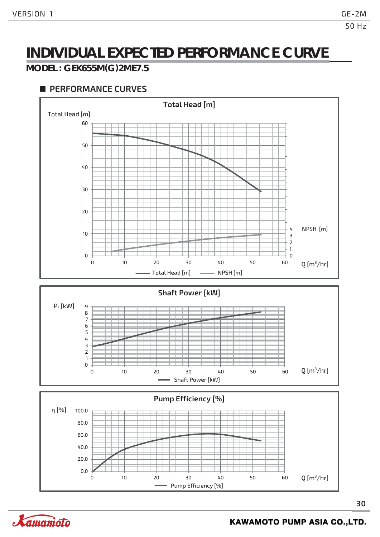#### **MODEL : GEK655M(G)2ME7.5**



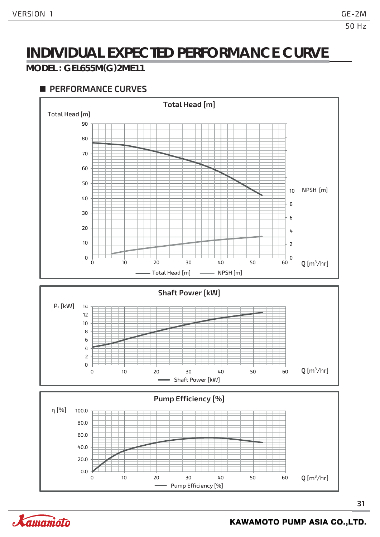#### **MODEL : GEL655M(G)2ME11**



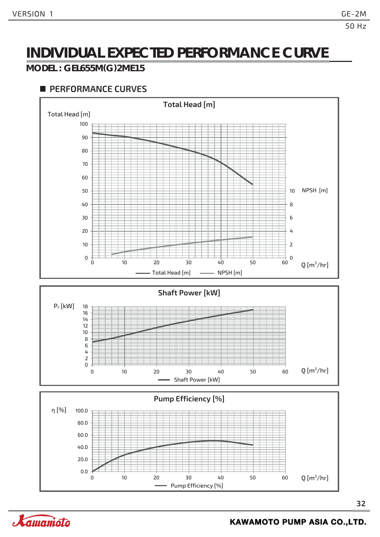#### **MODEL : GEL655M(G)2ME15**



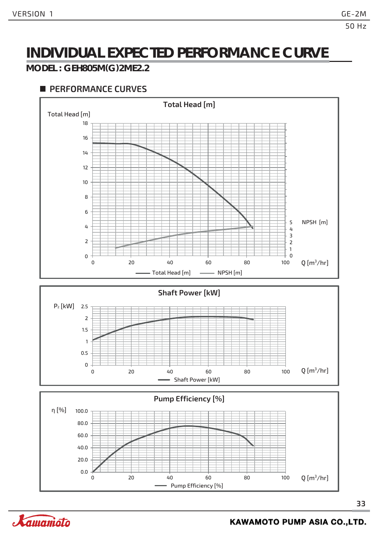#### **MODEL : GEH805M(G)2ME2.2**

#### **PERFORMANCE CURVES**



**33**

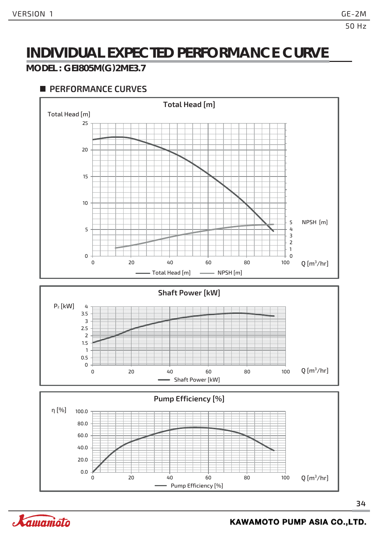#### **MODEL : GEI805M(G)2ME3.7**



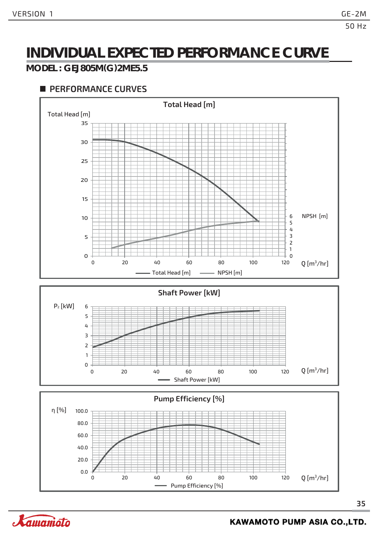#### **MODEL : GEJ805M(G)2ME5.5**



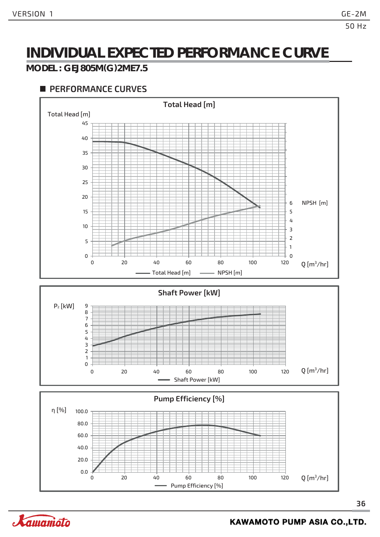#### **MODEL : GEJ805M(G)2ME7.5**



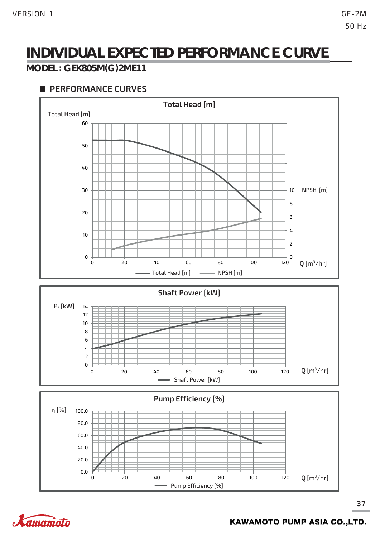#### **MODEL : GEK805M(G)2ME11**



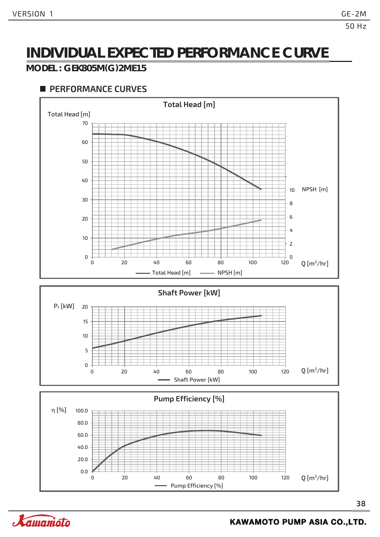#### **MODEL : GEK805M(G)2ME15**



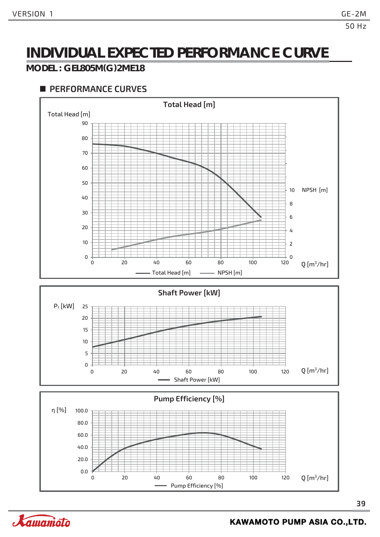#### **MODEL : GEL805M(G)2ME18**



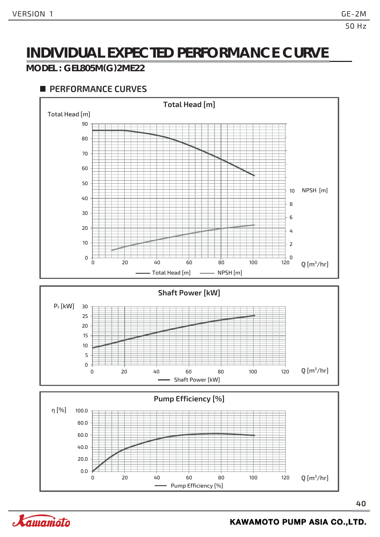#### **MODEL : GEL805M(G)2ME22**



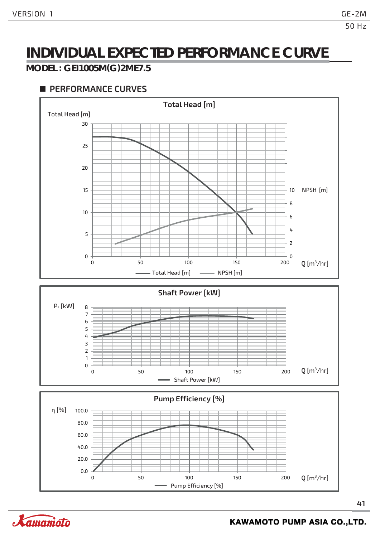#### **MODEL : GEI1005M(G)2ME7.5**



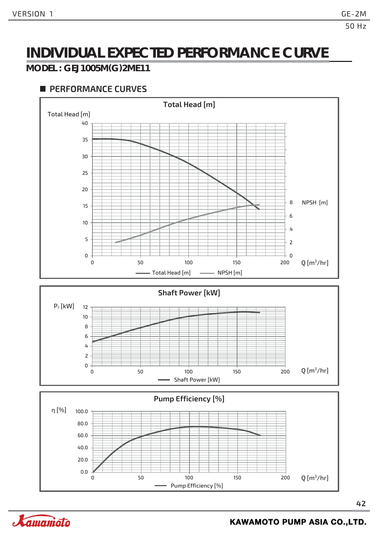Xamanioto

### **INDIVIDUAL EXPECTED PERFORMANCE CURVE**

#### **MODEL : GEJ1005M(G)2ME11**

#### **PERFORMANCE CURVES**



**KAWAMOTO PUMP ASIA CO.,LTD.**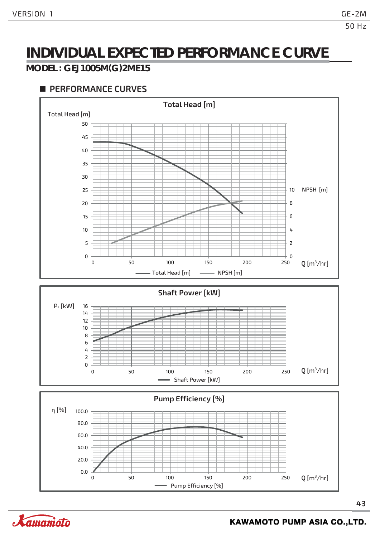#### **MODEL : GEJ1005M(G)2ME15**



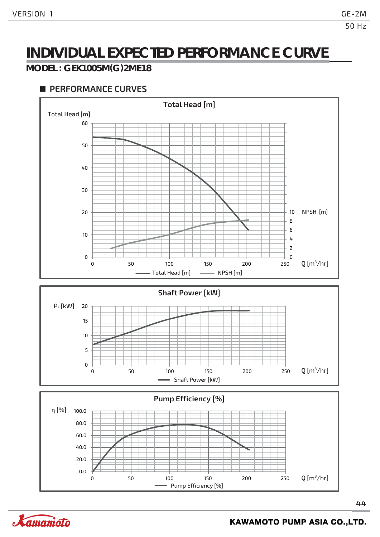#### **MODEL : GEK1005M(G)2ME18**



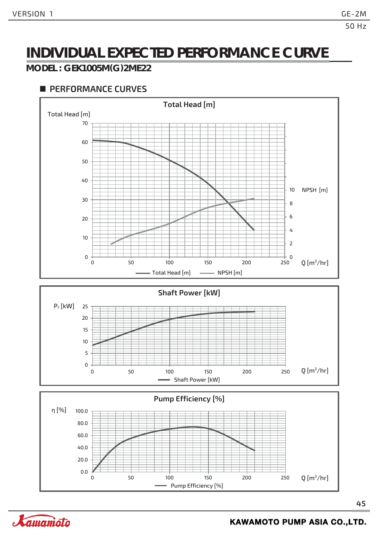#### **MODEL : GEK1005M(G)2ME22**



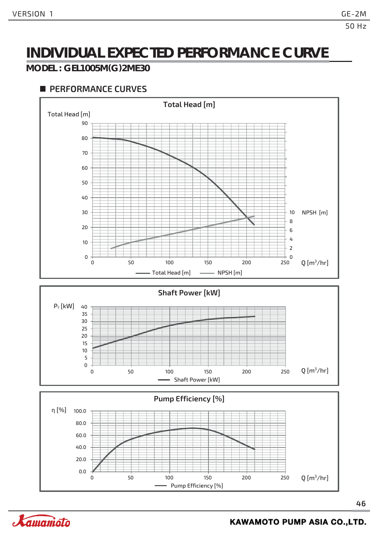#### **MODEL : GEL1005M(G)2ME30**

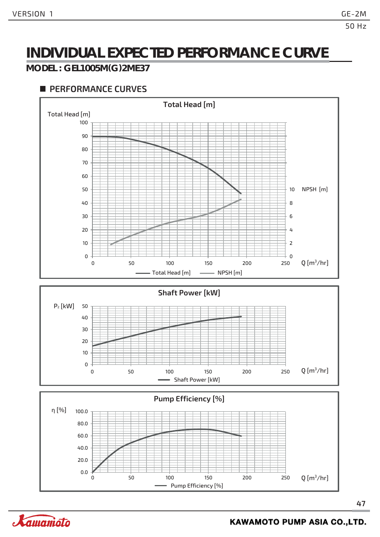#### **MODEL : GEL1005M(G)2ME37**

#### **PERFORMANCE CURVES**



**47**

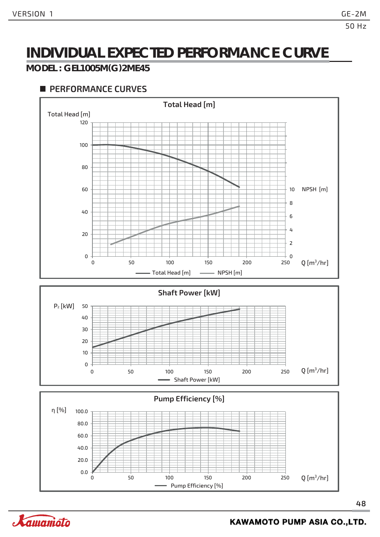#### **MODEL : GEL1005M(G)2ME45**

#### **PERFORMANCE CURVES**



**48**